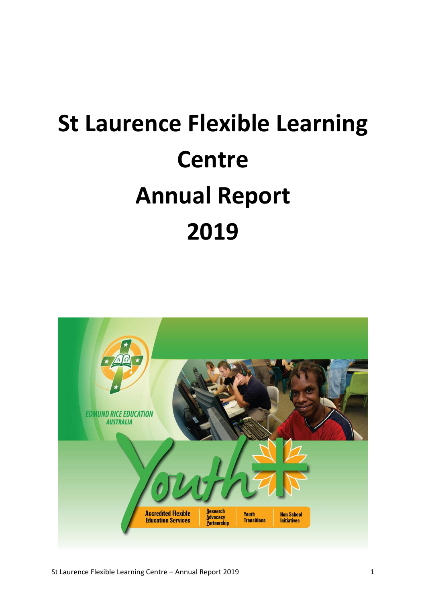# **St Laurence Flexible Learning Centre Annual Report 2019**

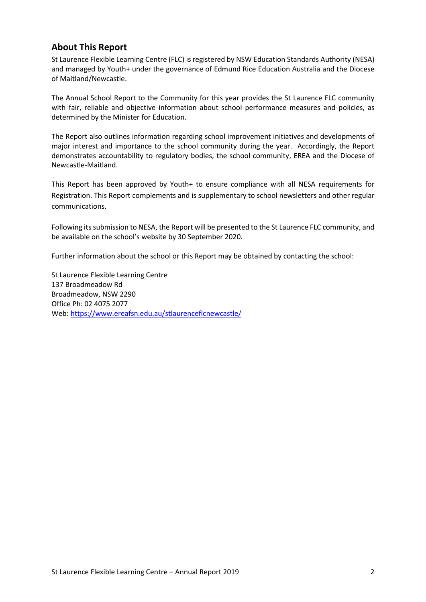#### **About This Report**

St Laurence Flexible Learning Centre (FLC) is registered by NSW Education Standards Authority (NESA) and managed by Youth+ under the governance of Edmund Rice Education Australia and the Diocese of Maitland/Newcastle.

The Annual School Report to the Community for this year provides the St Laurence FLC community with fair, reliable and objective information about school performance measures and policies, as determined by the Minister for Education.

The Report also outlines information regarding school improvement initiatives and developments of major interest and importance to the school community during the year. Accordingly, the Report demonstrates accountability to regulatory bodies, the school community, EREA and the Diocese of Newcastle-Maitland.

This Report has been approved by Youth+ to ensure compliance with all NESA requirements for Registration. This Report complements and is supplementary to school newsletters and other regular communications.

Following its submission to NESA, the Report will be presented to the St Laurence FLC community, and be available on the school's website by 30 September 2020.

Further information about the school or this Report may be obtained by contacting the school:

St Laurence Flexible Learning Centre 137 Broadmeadow Rd Broadmeadow, NSW 2290 Office Ph: 02 4075 2077 Web[: https://www.ereafsn.edu.au/stlaurenceflcnewcastle/](https://www.ereafsn.edu.au/stlaurenceflcnewcastle/)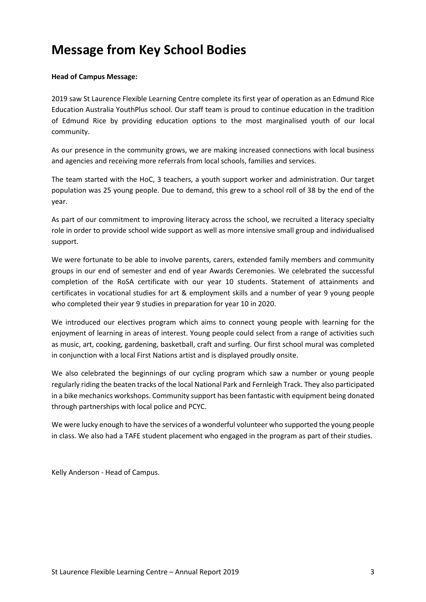## **Message from Key School Bodies**

#### **Head of Campus Message:**

2019 saw St Laurence Flexible Learning Centre complete its first year of operation as an Edmund Rice Education Australia YouthPlus school. Our staff team is proud to continue education in the tradition of Edmund Rice by providing education options to the most marginalised youth of our local community.

As our presence in the community grows, we are making increased connections with local business and agencies and receiving more referrals from local schools, families and services.

The team started with the HoC, 3 teachers, a youth support worker and administration. Our target population was 25 young people. Due to demand, this grew to a school roll of 38 by the end of the year.

As part of our commitment to improving literacy across the school, we recruited a literacy specialty role in order to provide school wide support as well as more intensive small group and individualised support.

We were fortunate to be able to involve parents, carers, extended family members and community groups in our end of semester and end of year Awards Ceremonies. We celebrated the successful completion of the RoSA certificate with our year 10 students. Statement of attainments and certificates in vocational studies for art & employment skills and a number of year 9 young people who completed their year 9 studies in preparation for year 10 in 2020.

We introduced our electives program which aims to connect young people with learning for the enjoyment of learning in areas of interest. Young people could select from a range of activities such as music, art, cooking, gardening, basketball, craft and surfing. Our first school mural was completed in conjunction with a local First Nations artist and is displayed proudly onsite.

We also celebrated the beginnings of our cycling program which saw a number or young people regularly riding the beaten tracks of the local National Park and Fernleigh Track. They also participated in a bike mechanics workshops. Community support has been fantastic with equipment being donated through partnerships with local police and PCYC.

We were lucky enough to have the services of a wonderful volunteer who supported the young people in class. We also had a TAFE student placement who engaged in the program as part of their studies.

Kelly Anderson - Head of Campus.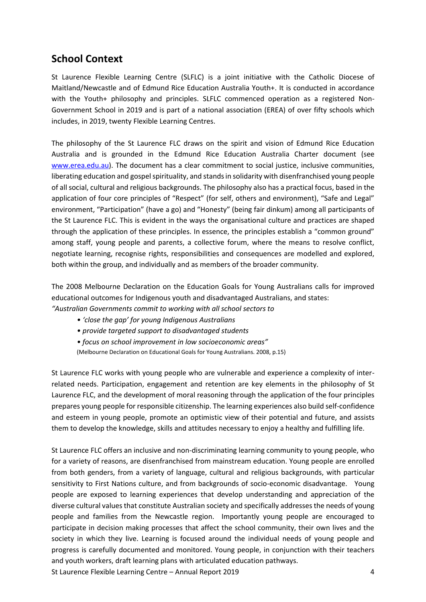## **School Context**

St Laurence Flexible Learning Centre (SLFLC) is a joint initiative with the Catholic Diocese of Maitland/Newcastle and of Edmund Rice Education Australia Youth+. It is conducted in accordance with the Youth+ philosophy and principles. SLFLC commenced operation as a registered Non-Government School in 2019 and is part of a national association (EREA) of over fifty schools which includes, in 2019, twenty Flexible Learning Centres.

The philosophy of the St Laurence FLC draws on the spirit and vision of Edmund Rice Education Australia and is grounded in the Edmund Rice Education Australia Charter document (see [www.erea.edu.au\)](http://www.erea.edu.au/). The document has a clear commitment to social justice, inclusive communities, liberating education and gospel spirituality, and stands in solidarity with disenfranchised young people of all social, cultural and religious backgrounds. The philosophy also has a practical focus, based in the application of four core principles of "Respect" (for self, others and environment), "Safe and Legal" environment, "Participation" (have a go) and "Honesty" (being fair dinkum) among all participants of the St Laurence FLC. This is evident in the ways the organisational culture and practices are shaped through the application of these principles. In essence, the principles establish a "common ground" among staff, young people and parents, a collective forum, where the means to resolve conflict, negotiate learning, recognise rights, responsibilities and consequences are modelled and explored, both within the group, and individually and as members of the broader community.

The 2008 Melbourne Declaration on the Education Goals for Young Australians calls for improved educational outcomes for Indigenous youth and disadvantaged Australians, and states: *"Australian Governments commit to working with all school sectors to*

- *'close the gap' for young Indigenous Australians*
- *provide targeted support to disadvantaged students*
- *focus on school improvement in low socioeconomic areas"*
- (Melbourne Declaration on Educational Goals for Young Australians. 2008, p.15)

St Laurence FLC works with young people who are vulnerable and experience a complexity of interrelated needs. Participation, engagement and retention are key elements in the philosophy of St Laurence FLC, and the development of moral reasoning through the application of the four principles prepares young people for responsible citizenship. The learning experiences also build self-confidence and esteem in young people, promote an optimistic view of their potential and future, and assists them to develop the knowledge, skills and attitudes necessary to enjoy a healthy and fulfilling life.

St Laurence FLC offers an inclusive and non-discriminating learning community to young people, who for a variety of reasons, are disenfranchised from mainstream education. Young people are enrolled from both genders, from a variety of language, cultural and religious backgrounds, with particular sensitivity to First Nations culture, and from backgrounds of socio-economic disadvantage. Young people are exposed to learning experiences that develop understanding and appreciation of the diverse cultural values that constitute Australian society and specifically addresses the needs of young people and families from the Newcastle region. Importantly young people are encouraged to participate in decision making processes that affect the school community, their own lives and the society in which they live. Learning is focused around the individual needs of young people and progress is carefully documented and monitored. Young people, in conjunction with their teachers and youth workers, draft learning plans with articulated education pathways.

St Laurence Flexible Learning Centre – Annual Report 2019 4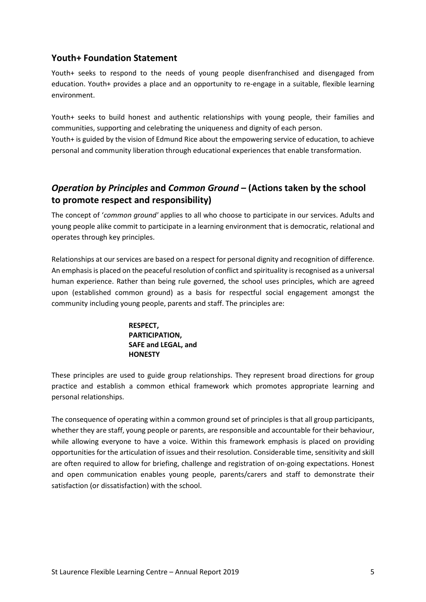#### **Youth+ Foundation Statement**

Youth+ seeks to respond to the needs of young people disenfranchised and disengaged from education. Youth+ provides a place and an opportunity to re-engage in a suitable, flexible learning environment.

Youth+ seeks to build honest and authentic relationships with young people, their families and communities, supporting and celebrating the uniqueness and dignity of each person. Youth+ is guided by the vision of Edmund Rice about the empowering service of education, to achieve personal and community liberation through educational experiences that enable transformation.

## *Operation by Principles* **and** *Common Ground –* **(Actions taken by the school to promote respect and responsibility)**

The concept of '*common ground'* applies to all who choose to participate in our services. Adults and young people alike commit to participate in a learning environment that is democratic, relational and operates through key principles.

Relationships at our services are based on a respect for personal dignity and recognition of difference. An emphasis is placed on the peaceful resolution of conflict and spirituality is recognised as a universal human experience. Rather than being rule governed, the school uses principles, which are agreed upon (established common ground) as a basis for respectful social engagement amongst the community including young people, parents and staff. The principles are:

#### **RESPECT, PARTICIPATION, SAFE and LEGAL, and HONESTY**

These principles are used to guide group relationships. They represent broad directions for group practice and establish a common ethical framework which promotes appropriate learning and personal relationships.

The consequence of operating within a common ground set of principles is that all group participants, whether they are staff, young people or parents, are responsible and accountable for their behaviour, while allowing everyone to have a voice. Within this framework emphasis is placed on providing opportunities for the articulation of issues and their resolution. Considerable time, sensitivity and skill are often required to allow for briefing, challenge and registration of on-going expectations. Honest and open communication enables young people, parents/carers and staff to demonstrate their satisfaction (or dissatisfaction) with the school.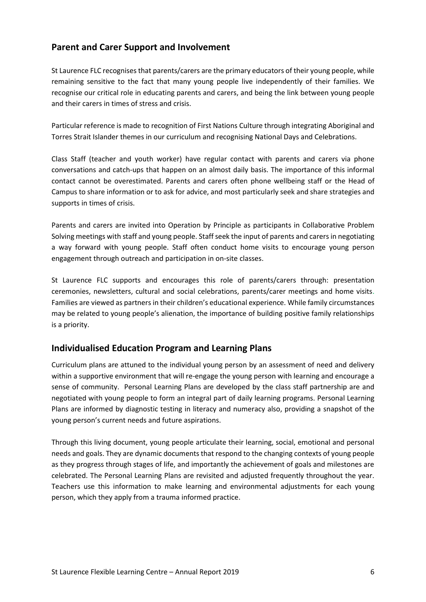### **Parent and Carer Support and Involvement**

St Laurence FLC recognises that parents/carers are the primary educators of their young people, while remaining sensitive to the fact that many young people live independently of their families. We recognise our critical role in educating parents and carers, and being the link between young people and their carers in times of stress and crisis.

Particular reference is made to recognition of First Nations Culture through integrating Aboriginal and Torres Strait Islander themes in our curriculum and recognising National Days and Celebrations.

Class Staff (teacher and youth worker) have regular contact with parents and carers via phone conversations and catch-ups that happen on an almost daily basis. The importance of this informal contact cannot be overestimated. Parents and carers often phone wellbeing staff or the Head of Campus to share information or to ask for advice, and most particularly seek and share strategies and supports in times of crisis.

Parents and carers are invited into Operation by Principle as participants in Collaborative Problem Solving meetings with staff and young people. Staff seek the input of parents and carers in negotiating a way forward with young people. Staff often conduct home visits to encourage young person engagement through outreach and participation in on-site classes.

St Laurence FLC supports and encourages this role of parents/carers through: presentation ceremonies, newsletters, cultural and social celebrations, parents/carer meetings and home visits. Families are viewed as partners in their children's educational experience. While family circumstances may be related to young people's alienation, the importance of building positive family relationships is a priority.

#### **Individualised Education Program and Learning Plans**

Curriculum plans are attuned to the individual young person by an assessment of need and delivery within a supportive environment that will re-engage the young person with learning and encourage a sense of community. Personal Learning Plans are developed by the class staff partnership are and negotiated with young people to form an integral part of daily learning programs. Personal Learning Plans are informed by diagnostic testing in literacy and numeracy also, providing a snapshot of the young person's current needs and future aspirations.

Through this living document, young people articulate their learning, social, emotional and personal needs and goals. They are dynamic documents that respond to the changing contexts of young people as they progress through stages of life, and importantly the achievement of goals and milestones are celebrated. The Personal Learning Plans are revisited and adjusted frequently throughout the year. Teachers use this information to make learning and environmental adjustments for each young person, which they apply from a trauma informed practice.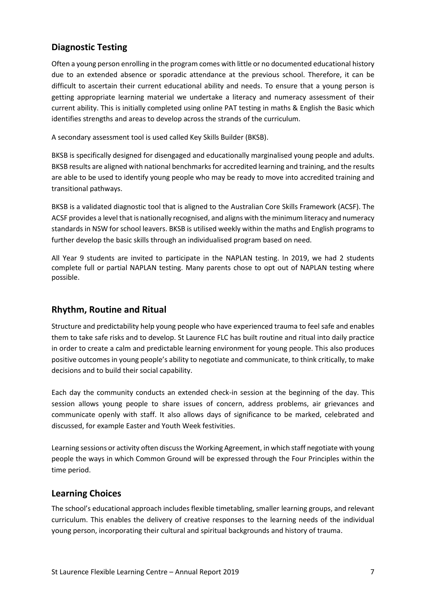## **Diagnostic Testing**

Often a young person enrolling in the program comes with little or no documented educational history due to an extended absence or sporadic attendance at the previous school. Therefore, it can be difficult to ascertain their current educational ability and needs. To ensure that a young person is getting appropriate learning material we undertake a literacy and numeracy assessment of their current ability. This is initially completed using online PAT testing in maths & English the Basic which identifies strengths and areas to develop across the strands of the curriculum.

A secondary assessment tool is used called Key Skills Builder (BKSB).

BKSB is specifically designed for disengaged and educationally marginalised young people and adults. BKSB results are aligned with national benchmarks for accredited learning and training, and the results are able to be used to identify young people who may be ready to move into accredited training and transitional pathways.

BKSB is a validated diagnostic tool that is aligned to the Australian Core Skills Framework (ACSF). The ACSF provides a level that is nationally recognised, and aligns with the minimum literacy and numeracy standards in NSW for school leavers. BKSB is utilised weekly within the maths and English programs to further develop the basic skills through an individualised program based on need.

All Year 9 students are invited to participate in the NAPLAN testing. In 2019, we had 2 students complete full or partial NAPLAN testing. Many parents chose to opt out of NAPLAN testing where possible.

#### **Rhythm, Routine and Ritual**

Structure and predictability help young people who have experienced trauma to feel safe and enables them to take safe risks and to develop. St Laurence FLC has built routine and ritual into daily practice in order to create a calm and predictable learning environment for young people. This also produces positive outcomes in young people's ability to negotiate and communicate, to think critically, to make decisions and to build their social capability.

Each day the community conducts an extended check-in session at the beginning of the day. This session allows young people to share issues of concern, address problems, air grievances and communicate openly with staff. It also allows days of significance to be marked, celebrated and discussed, for example Easter and Youth Week festivities.

Learning sessions or activity often discuss the Working Agreement, in which staff negotiate with young people the ways in which Common Ground will be expressed through the Four Principles within the time period.

#### **Learning Choices**

The school's educational approach includes flexible timetabling, smaller learning groups, and relevant curriculum. This enables the delivery of creative responses to the learning needs of the individual young person, incorporating their cultural and spiritual backgrounds and history of trauma.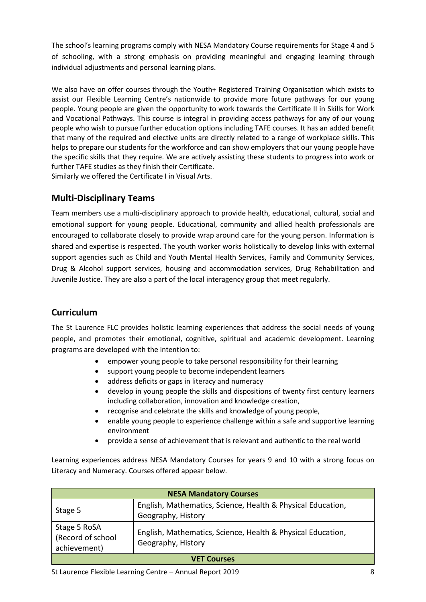The school's learning programs comply with NESA Mandatory Course requirements for Stage 4 and 5 of schooling, with a strong emphasis on providing meaningful and engaging learning through individual adjustments and personal learning plans.

We also have on offer courses through the Youth+ Registered Training Organisation which exists to assist our Flexible Learning Centre's nationwide to provide more future pathways for our young people. Young people are given the opportunity to work towards the Certificate II in Skills for Work and Vocational Pathways. This course is integral in providing access pathways for any of our young people who wish to pursue further education options including TAFE courses. It has an added benefit that many of the required and elective units are directly related to a range of workplace skills. This helps to prepare our students for the workforce and can show employers that our young people have the specific skills that they require. We are actively assisting these students to progress into work or further TAFE studies as they finish their Certificate. Similarly we offered the Certificate I in Visual Arts.

#### **Multi-Disciplinary Teams**

Team members use a multi-disciplinary approach to provide health, educational, cultural, social and emotional support for young people. Educational, community and allied health professionals are encouraged to collaborate closely to provide wrap around care for the young person. Information is shared and expertise is respected. The youth worker works holistically to develop links with external support agencies such as Child and Youth Mental Health Services, Family and Community Services, Drug & Alcohol support services, housing and accommodation services, Drug Rehabilitation and Juvenile Justice. They are also a part of the local interagency group that meet regularly.

## **Curriculum**

The St Laurence FLC provides holistic learning experiences that address the social needs of young people, and promotes their emotional, cognitive, spiritual and academic development. Learning programs are developed with the intention to:

- empower young people to take personal responsibility for their learning
- support young people to become independent learners
- address deficits or gaps in literacy and numeracy
- develop in young people the skills and dispositions of twenty first century learners including collaboration, innovation and knowledge creation,
- recognise and celebrate the skills and knowledge of young people,
- enable young people to experience challenge within a safe and supportive learning environment
- provide a sense of achievement that is relevant and authentic to the real world

Learning experiences address NESA Mandatory Courses for years 9 and 10 with a strong focus on Literacy and Numeracy. Courses offered appear below.

| <b>NESA Mandatory Courses</b>                     |                                                                                   |  |
|---------------------------------------------------|-----------------------------------------------------------------------------------|--|
| Stage 5                                           | English, Mathematics, Science, Health & Physical Education,<br>Geography, History |  |
| Stage 5 RoSA<br>(Record of school<br>achievement) | English, Mathematics, Science, Health & Physical Education,<br>Geography, History |  |
| <b>VET Courses</b>                                |                                                                                   |  |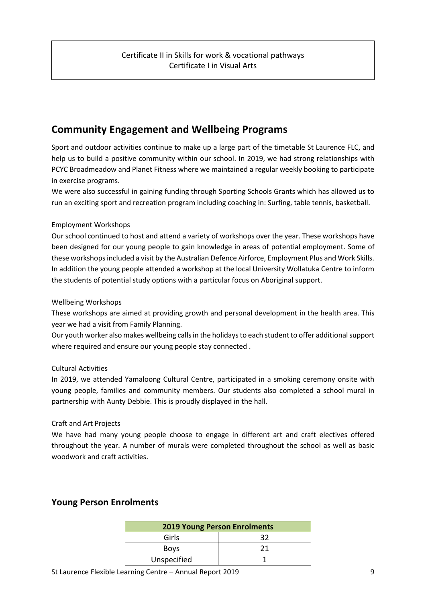## **Community Engagement and Wellbeing Programs**

Sport and outdoor activities continue to make up a large part of the timetable St Laurence FLC, and help us to build a positive community within our school. In 2019, we had strong relationships with PCYC Broadmeadow and Planet Fitness where we maintained a regular weekly booking to participate in exercise programs.

We were also successful in gaining funding through Sporting Schools Grants which has allowed us to run an exciting sport and recreation program including coaching in: Surfing, table tennis, basketball.

#### Employment Workshops

Our school continued to host and attend a variety of workshops over the year. These workshops have been designed for our young people to gain knowledge in areas of potential employment. Some of these workshops included a visit by the Australian Defence Airforce, Employment Plus and Work Skills. In addition the young people attended a workshop at the local University Wollatuka Centre to inform the students of potential study options with a particular focus on Aboriginal support.

#### Wellbeing Workshops

These workshops are aimed at providing growth and personal development in the health area. This year we had a visit from Family Planning.

Our youth worker also makes wellbeing calls in the holidays to each student to offer additional support where required and ensure our young people stay connected .

#### Cultural Activities

In 2019, we attended Yamaloong Cultural Centre, participated in a smoking ceremony onsite with young people, families and community members. Our students also completed a school mural in partnership with Aunty Debbie. This is proudly displayed in the hall.

#### Craft and Art Projects

We have had many young people choose to engage in different art and craft electives offered throughout the year. A number of murals were completed throughout the school as well as basic woodwork and craft activities.

| <b>2019 Young Person Enrolments</b> |    |  |
|-------------------------------------|----|--|
| Girls                               | 37 |  |
| <b>Boys</b>                         | 21 |  |
| Unspecified                         |    |  |

#### **Young Person Enrolments**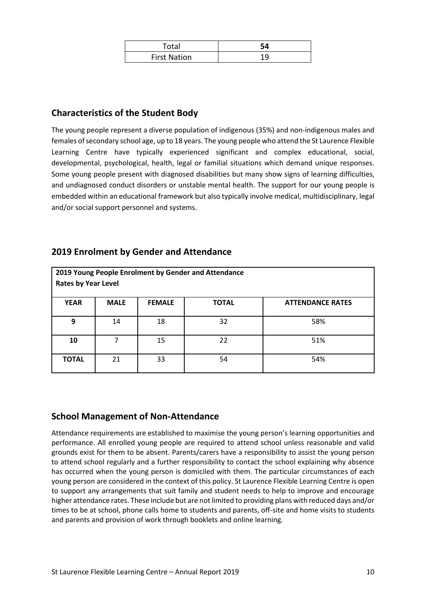| Total               |  |
|---------------------|--|
| <b>First Nation</b> |  |

## **Characteristics of the Student Body**

The young people represent a diverse population of indigenous (35%) and non-indigenous males and females of secondary school age, up to 18 years. The young people who attend the St Laurence Flexible Learning Centre have typically experienced significant and complex educational, social, developmental, psychological, health, legal or familial situations which demand unique responses. Some young people present with diagnosed disabilities but many show signs of learning difficulties, and undiagnosed conduct disorders or unstable mental health. The support for our young people is embedded within an educational framework but also typically involve medical, multidisciplinary, legal and/or social support personnel and systems.

#### **2019 Enrolment by Gender and Attendance**

| <b>Rates by Year Level</b> |             |               | 2019 Young People Enrolment by Gender and Attendance |                         |
|----------------------------|-------------|---------------|------------------------------------------------------|-------------------------|
| <b>YEAR</b>                | <b>MALE</b> | <b>FEMALE</b> | <b>TOTAL</b>                                         | <b>ATTENDANCE RATES</b> |
| 9                          | 14          | 18            | 32                                                   | 58%                     |
| 10                         |             | 15            | 22                                                   | 51%                     |
| <b>TOTAL</b>               | 21          | 33            | 54                                                   | 54%                     |

#### **School Management of Non-Attendance**

Attendance requirements are established to maximise the young person's learning opportunities and performance. All enrolled young people are required to attend school unless reasonable and valid grounds exist for them to be absent. Parents/carers have a responsibility to assist the young person to attend school regularly and a further responsibility to contact the school explaining why absence has occurred when the young person is domiciled with them. The particular circumstances of each young person are considered in the context of this policy. St Laurence Flexible Learning Centre is open to support any arrangements that suit family and student needs to help to improve and encourage higher attendance rates. These include but are not limited to providing plans with reduced days and/or times to be at school, phone calls home to students and parents, off-site and home visits to students and parents and provision of work through booklets and online learning.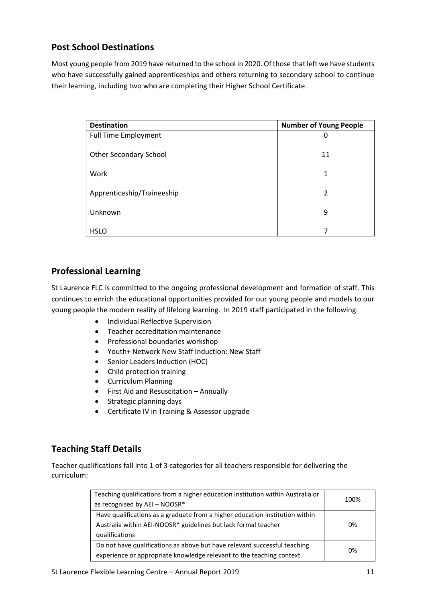## **Post School Destinations**

Most young people from 2019 have returned to the school in 2020. Of those that left we have students who have successfully gained apprenticeships and others returning to secondary school to continue their learning, including two who are completing their Higher School Certificate.

| <b>Destination</b>            | <b>Number of Young People</b> |
|-------------------------------|-------------------------------|
| <b>Full Time Employment</b>   | O                             |
| <b>Other Secondary School</b> | 11                            |
| Work                          | 1                             |
| Apprenticeship/Traineeship    | 2                             |
| Unknown                       | 9                             |
| <b>HSLO</b>                   |                               |

## **Professional Learning**

St Laurence FLC is committed to the ongoing professional development and formation of staff. This continues to enrich the educational opportunities provided for our young people and models to our young people the modern reality of lifelong learning. In 2019 staff participated in the following:

- Individual Reflective Supervision
- Teacher accreditation maintenance
- Professional boundaries workshop
- Youth+ Network New Staff Induction: New Staff
- Senior Leaders Induction (HOC)
- Child protection training
- Curriculum Planning
- First Aid and Resuscitation Annually
- Strategic planning days
- Certificate IV in Training & Assessor upgrade

## **Teaching Staff Details**

Teacher qualifications fall into 1 of 3 categories for all teachers responsible for delivering the curriculum:

| Teaching qualifications from a higher education institution within Australia or<br>as recognised by AEI - NOOSR*                                                 | 100% |
|------------------------------------------------------------------------------------------------------------------------------------------------------------------|------|
| Have qualifications as a graduate from a higher education institution within<br>Australia within AEI-NOOSR* guidelines but lack formal teacher<br>qualifications | 0%   |
| Do not have qualifications as above but have relevant successful teaching<br>experience or appropriate knowledge relevant to the teaching context                | 0%   |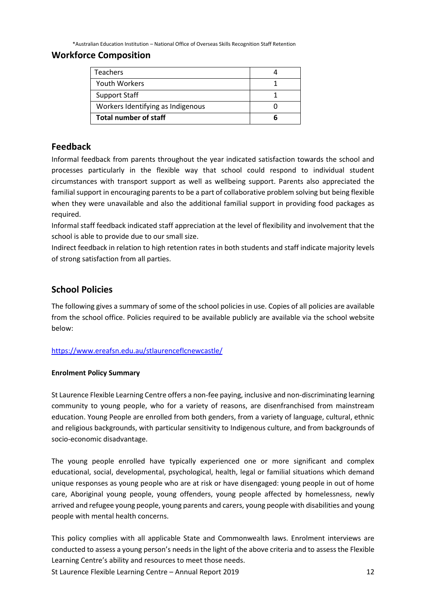\*Australian Education Institution – National Office of Overseas Skills Recognition Staff Retention

#### **Workforce Composition**

| <b>Teachers</b>                   |  |
|-----------------------------------|--|
| <b>Youth Workers</b>              |  |
| <b>Support Staff</b>              |  |
| Workers Identifying as Indigenous |  |
| <b>Total number of staff</b>      |  |

#### **Feedback**

Informal feedback from parents throughout the year indicated satisfaction towards the school and processes particularly in the flexible way that school could respond to individual student circumstances with transport support as well as wellbeing support. Parents also appreciated the familial support in encouraging parents to be a part of collaborative problem solving but being flexible when they were unavailable and also the additional familial support in providing food packages as required.

Informal staff feedback indicated staff appreciation at the level of flexibility and involvement that the school is able to provide due to our small size.

Indirect feedback in relation to high retention rates in both students and staff indicate majority levels of strong satisfaction from all parties.

#### **School Policies**

The following gives a summary of some of the school policies in use. Copies of all policies are available from the school office. Policies required to be available publicly are available via the school website below:

<https://www.ereafsn.edu.au/stlaurenceflcnewcastle/>

#### **Enrolment Policy Summary**

St Laurence Flexible Learning Centre offers a non-fee paying, inclusive and non-discriminating learning community to young people, who for a variety of reasons, are disenfranchised from mainstream education. Young People are enrolled from both genders, from a variety of language, cultural, ethnic and religious backgrounds, with particular sensitivity to Indigenous culture, and from backgrounds of socio-economic disadvantage.

The young people enrolled have typically experienced one or more significant and complex educational, social, developmental, psychological, health, legal or familial situations which demand unique responses as young people who are at risk or have disengaged: young people in out of home care, Aboriginal young people, young offenders, young people affected by homelessness, newly arrived and refugee young people, young parents and carers, young people with disabilities and young people with mental health concerns.

This policy complies with all applicable State and Commonwealth laws. Enrolment interviews are conducted to assess a young person's needs in the light of the above criteria and to assess the Flexible Learning Centre's ability and resources to meet those needs.

St Laurence Flexible Learning Centre – Annual Report 2019 12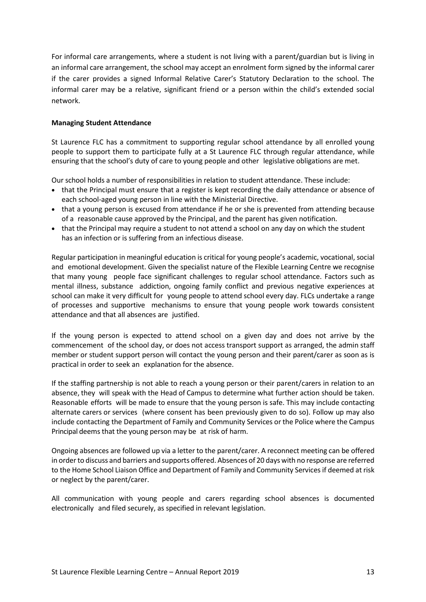For informal care arrangements, where a student is not living with a parent/guardian but is living in an informal care arrangement, the school may accept an enrolment form signed by the informal carer if the carer provides a signed Informal Relative Carer's Statutory Declaration to the school. The informal carer may be a relative, significant friend or a person within the child's extended social network.

#### **Managing Student Attendance**

St Laurence FLC has a commitment to supporting regular school attendance by all enrolled young people to support them to participate fully at a St Laurence FLC through regular attendance, while ensuring that the school's duty of care to young people and other legislative obligations are met.

Our school holds a number of responsibilities in relation to student attendance. These include:

- that the Principal must ensure that a register is kept recording the daily attendance or absence of each school-aged young person in line with the Ministerial Directive.
- that a young person is excused from attendance if he or she is prevented from attending because of a reasonable cause approved by the Principal, and the parent has given notification.
- that the Principal may require a student to not attend a school on any day on which the student has an infection or is suffering from an infectious disease.

Regular participation in meaningful education is critical for young people's academic, vocational, social and emotional development. Given the specialist nature of the Flexible Learning Centre we recognise that many young people face significant challenges to regular school attendance. Factors such as mental illness, substance addiction, ongoing family conflict and previous negative experiences at school can make it very difficult for young people to attend school every day. FLCs undertake a range of processes and supportive mechanisms to ensure that young people work towards consistent attendance and that all absences are justified.

If the young person is expected to attend school on a given day and does not arrive by the commencement of the school day, or does not access transport support as arranged, the admin staff member or student support person will contact the young person and their parent/carer as soon as is practical in order to seek an explanation for the absence.

If the staffing partnership is not able to reach a young person or their parent/carers in relation to an absence, they will speak with the Head of Campus to determine what further action should be taken. Reasonable efforts will be made to ensure that the young person is safe. This may include contacting alternate carers or services (where consent has been previously given to do so). Follow up may also include contacting the Department of Family and Community Services or the Police where the Campus Principal deems that the young person may be at risk of harm.

Ongoing absences are followed up via a letter to the parent/carer. A reconnect meeting can be offered in order to discuss and barriers and supports offered. Absences of 20 days with no response are referred to the Home School Liaison Office and Department of Family and Community Services if deemed at risk or neglect by the parent/carer.

All communication with young people and carers regarding school absences is documented electronically and filed securely, as specified in relevant legislation.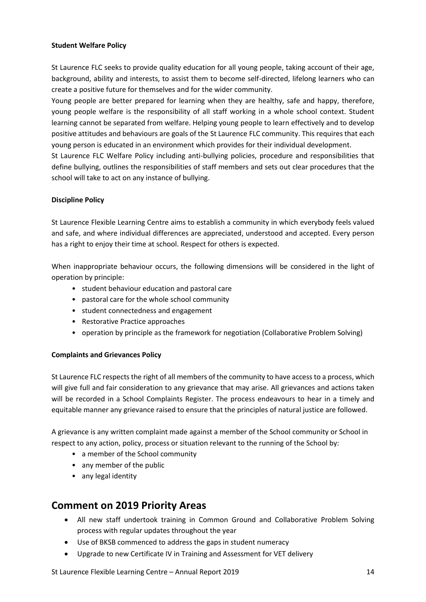#### **Student Welfare Policy**

St Laurence FLC seeks to provide quality education for all young people, taking account of their age, background, ability and interests, to assist them to become self-directed, lifelong learners who can create a positive future for themselves and for the wider community.

Young people are better prepared for learning when they are healthy, safe and happy, therefore, young people welfare is the responsibility of all staff working in a whole school context. Student learning cannot be separated from welfare. Helping young people to learn effectively and to develop positive attitudes and behaviours are goals of the St Laurence FLC community. This requires that each young person is educated in an environment which provides for their individual development.

St Laurence FLC Welfare Policy including anti-bullying policies, procedure and responsibilities that define bullying, outlines the responsibilities of staff members and sets out clear procedures that the school will take to act on any instance of bullying.

#### **Discipline Policy**

St Laurence Flexible Learning Centre aims to establish a community in which everybody feels valued and safe, and where individual differences are appreciated, understood and accepted. Every person has a right to enjoy their time at school. Respect for others is expected.

When inappropriate behaviour occurs, the following dimensions will be considered in the light of operation by principle:

- student behaviour education and pastoral care
- pastoral care for the whole school community
- student connectedness and engagement
- Restorative Practice approaches
- operation by principle as the framework for negotiation (Collaborative Problem Solving)

#### **Complaints and Grievances Policy**

St Laurence FLC respects the right of all members of the community to have access to a process, which will give full and fair consideration to any grievance that may arise. All grievances and actions taken will be recorded in a School Complaints Register. The process endeavours to hear in a timely and equitable manner any grievance raised to ensure that the principles of natural justice are followed.

A grievance is any written complaint made against a member of the School community or School in respect to any action, policy, process or situation relevant to the running of the School by:

- a member of the School community
- any member of the public
- any legal identity

## **Comment on 2019 Priority Areas**

- All new staff undertook training in Common Ground and Collaborative Problem Solving process with regular updates throughout the year
- Use of BKSB commenced to address the gaps in student numeracy
- Upgrade to new Certificate IV in Training and Assessment for VET delivery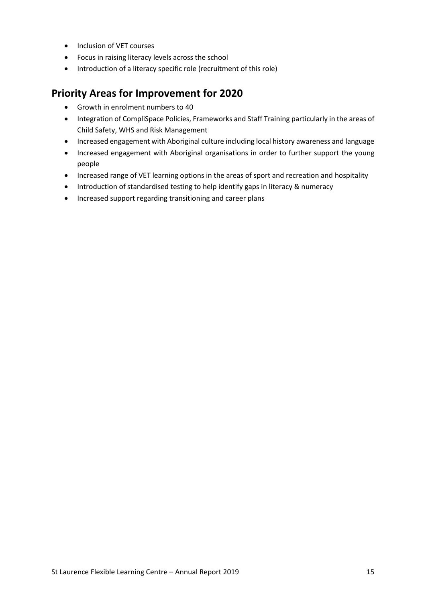- Inclusion of VET courses
- Focus in raising literacy levels across the school
- Introduction of a literacy specific role (recruitment of this role)

## **Priority Areas for Improvement for 2020**

- Growth in enrolment numbers to 40
- Integration of CompliSpace Policies, Frameworks and Staff Training particularly in the areas of Child Safety, WHS and Risk Management
- Increased engagement with Aboriginal culture including local history awareness and language
- Increased engagement with Aboriginal organisations in order to further support the young people
- Increased range of VET learning options in the areas of sport and recreation and hospitality
- Introduction of standardised testing to help identify gaps in literacy & numeracy
- Increased support regarding transitioning and career plans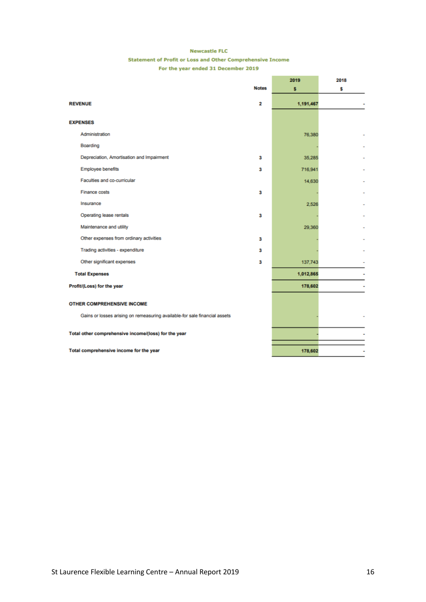#### **Newcastle FLC**

#### Statement of Profit or Loss and Other Comprehensive Income

For the year ended 31 December 2019

|                                                                            | 2019      | 2018           |
|----------------------------------------------------------------------------|-----------|----------------|
| <b>Notes</b>                                                               | s         | s              |
| <b>REVENUE</b><br>2                                                        | 1,191,467 |                |
| <b>EXPENSES</b>                                                            |           |                |
| Administration                                                             | 76.380    |                |
| Boarding                                                                   |           |                |
| Depreciation, Amortisation and Impairment<br>3                             | 35.285    |                |
| <b>Employee benefits</b><br>3                                              | 716,941   |                |
| Faculties and co-curricular                                                | 14,630    |                |
| Finance costs<br>3                                                         |           |                |
| Insurance                                                                  | 2.526     |                |
| Operating lease rentals<br>3                                               |           |                |
| Maintenance and utility                                                    | 29.360    |                |
| Other expenses from ordinary activities<br>3                               |           |                |
| Trading activities - expenditure<br>3                                      |           |                |
| Other significant expenses<br>3                                            | 137,743   |                |
| <b>Total Expenses</b>                                                      | 1,012,865 |                |
| Profit/(Loss) for the year                                                 | 178,602   | $\overline{a}$ |
| <b>OTHER COMPREHENSIVE INCOME</b>                                          |           |                |
| Gains or losses arising on remeasuring available-for sale financial assets |           |                |
| Total other comprehensive income/(loss) for the year                       |           |                |
| Total comprehensive income for the year                                    | 178,602   | ٠              |